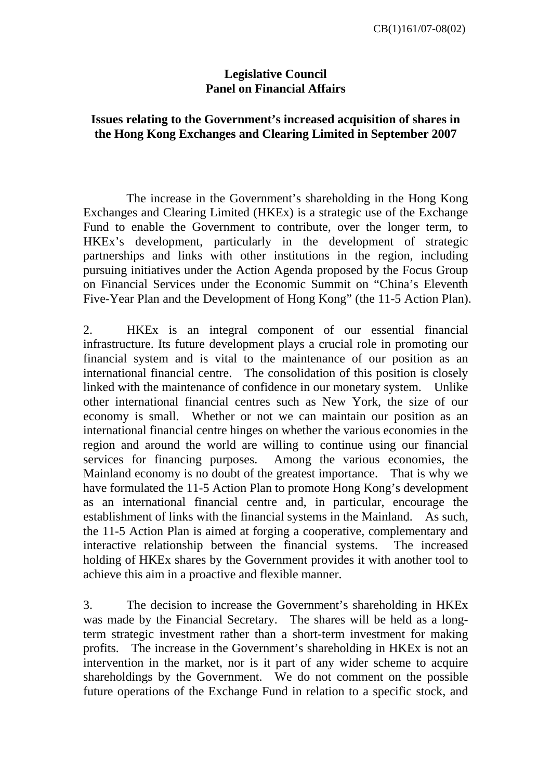## **Legislative Council Panel on Financial Affairs**

## **Issues relating to the Government's increased acquisition of shares in the Hong Kong Exchanges and Clearing Limited in September 2007**

 The increase in the Government's shareholding in the Hong Kong Exchanges and Clearing Limited (HKEx) is a strategic use of the Exchange Fund to enable the Government to contribute, over the longer term, to HKEx's development, particularly in the development of strategic partnerships and links with other institutions in the region, including pursuing initiatives under the Action Agenda proposed by the Focus Group on Financial Services under the Economic Summit on "China's Eleventh Five-Year Plan and the Development of Hong Kong" (the 11-5 Action Plan).

2. HKEx is an integral component of our essential financial infrastructure. Its future development plays a crucial role in promoting our financial system and is vital to the maintenance of our position as an international financial centre. The consolidation of this position is closely linked with the maintenance of confidence in our monetary system. Unlike other international financial centres such as New York, the size of our economy is small. Whether or not we can maintain our position as an international financial centre hinges on whether the various economies in the region and around the world are willing to continue using our financial services for financing purposes. Among the various economies, the Mainland economy is no doubt of the greatest importance. That is why we have formulated the 11-5 Action Plan to promote Hong Kong's development as an international financial centre and, in particular, encourage the establishment of links with the financial systems in the Mainland. As such, the 11-5 Action Plan is aimed at forging a cooperative, complementary and interactive relationship between the financial systems. The increased holding of HKEx shares by the Government provides it with another tool to achieve this aim in a proactive and flexible manner.

3. The decision to increase the Government's shareholding in HKEx was made by the Financial Secretary. The shares will be held as a longterm strategic investment rather than a short-term investment for making profits. The increase in the Government's shareholding in HKEx is not an intervention in the market, nor is it part of any wider scheme to acquire shareholdings by the Government. We do not comment on the possible future operations of the Exchange Fund in relation to a specific stock, and